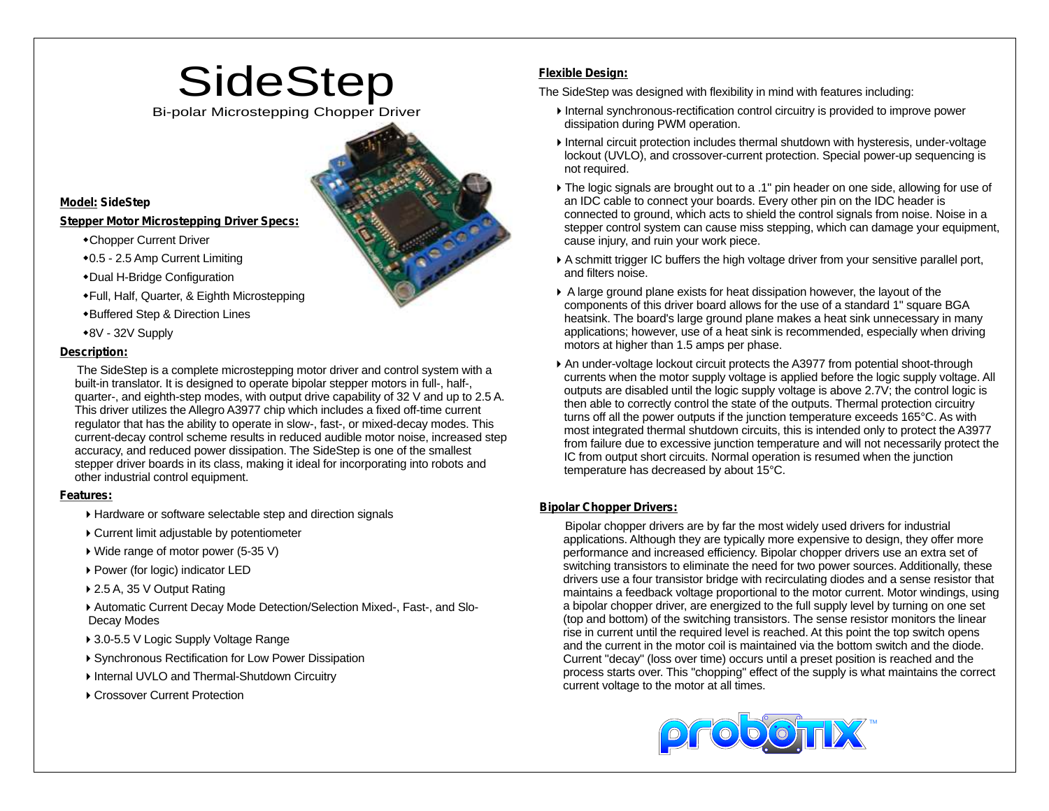## **SideStep**

Bi-polar Microstepping Chopper Driver

#### **Model: SideStep**

### **Step**?**per Motor Microstepping Driver Specs:**

- 
- \*Chopper Current Driver<br>\*0.5 2.5 Amp Current Limiting
- \* Dual H-Bridge Configuration
- ◆Dual H-Bridge Configuration<br>◆Full, Half, Quarter, & Eighth l ?Full, Half, Quarter, & Eighth Microstepping
- ?Buffered Step & Direction Lines
- 8V 32V Supply

#### **Description:**

The SideStep is a complete microstepping motor driver and control system with a built-in translator. It is designed to operate bipolar stepper motors in full-, half-, quarter-, and eighth-step modes, with output drive capability of 32 V and up to 2.5 A. This driver utilizes the Allegro A3977 chip which includes a fixed off-time current regulator that has the ability to operate in slow-, fast-, or mixed-decay modes. This current-decay control scheme results in reduced audible motor noise, increased step accuracy, and reduced power dissipation. The SideStep is one of the smallest stepper driver boards in its class, making it ideal for incorporating into robots and other industrial control equipment.

#### **Feat ures:**

- 4 Hardware or software selectable step and direction signals
- 4 Current limit adjustable by potentiometer
- 4 Wide range of motor power (5-35 V)
- 4 Power (for logic) indicator LED
- ▶ 2.5 A, 35 V Output Rating
- 4 Automatic Current Decay Mode Detection/Selection Mixed-, Fast-, and Slo- Decay Modes
- ▶ 3.0-5.5 V Logic Supply Voltage Range
- 4 Synchronous Rectification for Low Power Dissipation
- 4 Internal UVLO and Thermal-Shutdown Circuitry
- 4 Crossover Current Protection

# The SideStep was designed with flexibility in mind with features including:

4 The logic signals are brought out to a .1" pin header on one side, allowing for use of an IDC cable to connect your boards. Every other pin on the IDC header is connected to ground, which acts to shield the control signals from noise. Noise in a stepper control system can cause miss stepping, which can damage your equipment, cause injury, and ruin your work piece.

4 Internal synchronous-rectification control circuitry is provided to improve power

4 Internal circuit protection includes thermal shutdown with hysteresis, under-voltage

lockout (UVLO), and crossover-current protection. Special power-up sequencing is

- 4 A schmitt trigger IC buffers the high voltage driver from your sensitive parallel port, and filters noise.
- 4 A large ground plane exists for heat dissipation however, the layout of the components of this driver board allows for the use of a standard 1" square BGA heatsink. The board's large ground plane makes a heat sink unnecessary in many applications; however, use of a heat sink is recommended, especially when driving motors at higher than 1.5 amps per phase.
- 4 An under-voltage lockout circuit protects the A3977 from potential shoot-through currents when the motor supply voltage is applied before the logic supply voltage. All outputs are disabled until the logic supply voltage is above 2.7V; the control logic is then able to correctly control the state of the outputs. Thermal protection circuitry turns off all the power outputs if the junction temperature exceeds 165°C. As with most integrated thermal shutdown circuits, this is intended only to protect the A3977 from failure due to excessive junction temperature and will not necessarily protect the IC from output short circuits. Normal operation is resumed when the junction temperature has decreased by about 15°C.

#### **Bipolar Chopper Drivers:**

**Flexible Design:**

not required.

dissipation during PWM operation.

Bipolar chopper drivers are by far the most widely used drivers for industrial applications. Although they are typically more expensive to design, they offer more performance and increased efficiency. Bipolar chopper drivers use an extra set of switching transistors to eliminate the need for two power sources. Additionally, these drivers use a four transistor bridge with recirculating diodes and a sense resistor that maintains a feedback voltage proportional to the motor current. Motor windings, using a bipolar chopper driver, are energized to the full supply level by turning on one set (top and bottom) of the switching transistors. The sense resistor monitors the linear rise in current until the required level is reached. At this point the top switch opens and the current in the motor coil is maintained via the bottom switch and the diode. Current "decay" (loss over time) occurs until a preset position is reached and the process starts over. This "chopping" effect of the supply is what maintains the correct current voltage to the motor at all times.